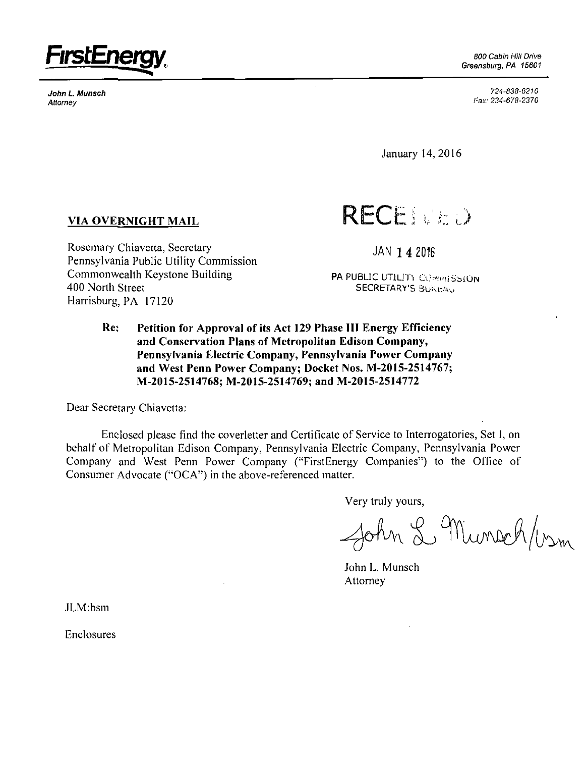

**John L. Munsch**  *Attorney* 

Greensburg, PA 15601

*724-838-6210 Fax: 234-678-2370* 

January 14,2016

## **VIA OVERNIGHT MAIL**

Rosemary Chiavetta, Secretary Pennsylvania Public Utility Commission Commonweallh Keystone Building 400 North Street Harrisburg, PA 17120

**RECENTED** 

**JAN 1 4 2016** 

**PA PUBLIC UTILITY COMMISSION SECRETARY'S BbktrAv** 

**Re; Petition for Approval of its Act 129 Phase III Energy Efficiency and Conservation Plans of Metropolitan Edison Company, Pennsylvania Electric Company, Pennsylvania Power Company and West Penn Power Company; Docket Nos. M-20I5-25I4767; M-2015-2514768; M-2015-25I4769; and M-2015-2514772** 

Dear Secretary Chiavetta:

Enclosed please find the coverletter and Certificate of Service to Interrogatories, Set I, on behalf of Metropolitan Edison Company, Pennsylvania Electric Company, Pennsylvania Power Company and West Penn Power Company ("FirstEnergy Companies") to the Office of Consumer Advocate ("OCA") in the above-referenced matter.

Very truly yours,

John L Munsch/vsm

John L. Munsch Attorney

JLM:bsm

Enclosures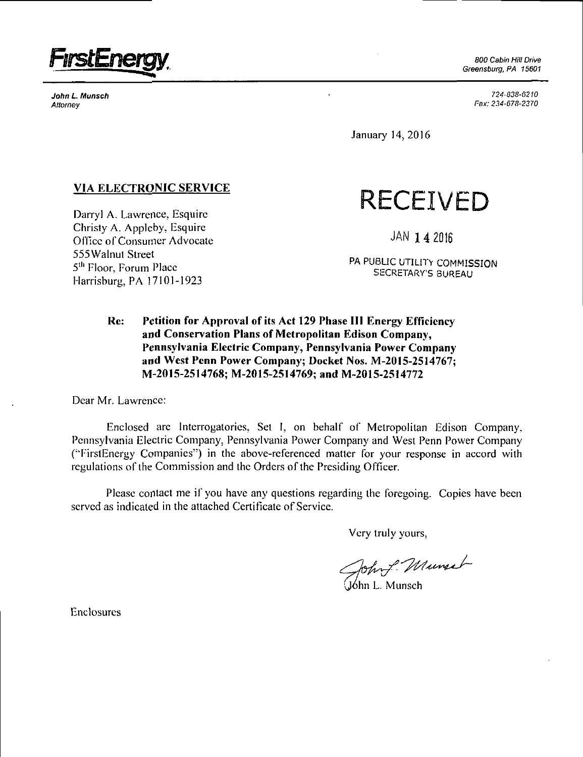

John L. Munsch **Attorney** 

800 Cabin Hill Drive Greensburg, PA 15601

> *724-838-6210 Fax: 234-678-2370*

January 14, 2016

## **VIA ELECTRONIC SERVICE**

Darryl A. Lawrence. Esquire Christy A. Appleby. Esquire Office of Consumer Advocate 555Walnut Street 5<sup>th</sup> Floor, Forum Place Harrisburg, PA 17101-1923

**RECEIVED** 

JAN 1 4 2016

PA PUBLIC UTILITY COMMISSION SECRETARY'S BUREAU

## **Re: Petition for Approval of its Act 129 Phase III Energy Efficiency and Conservation Plans of Metropolitan Edison Company, Pennsylvania Electric Company, Pennsylvania Power Company and West Penn Power Company; Docket Nos. M-2015-2514767; M-2015-2514768; M-2015-2514769; and M-2015-2514772**

Dear Mr. Lawrence:

Enclosed are Interrogatories, Set I, on behalf of Metropolitan Edison Company, Pennsylvania Electric Company. Pennsylvania Power Company and West Penn Power Company ("FirstEnergy Companies") in the above-referenced matter for your response in accord with regulations of the Commission and the Orders of the Presiding Officer.

Please contact me if you have any questions regarding the foregoing. Copies have been served as indicated in the attached Certificate of Service.

Very truly yours.

John f. Munsel

Enclosures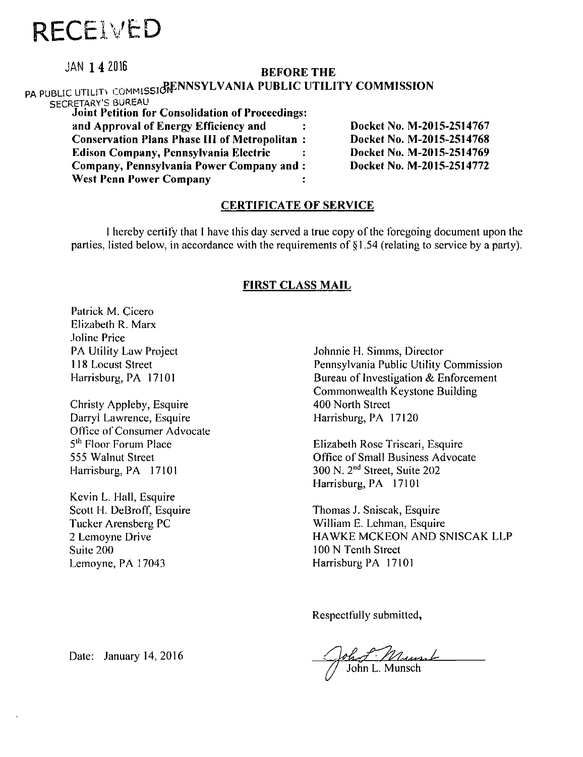# **RECE VED**

**JAN 1 4 2016 BEFORE THE** 

### PA PUBLIC UTILITY COMMISSION BRANNSYLVANIA PUBLIC UTILITY COMMISSION SECRETARY'S BUREAU **Joint Petition for Consolidation of Proceedings and Approval of Energy Efficiency and Conservation Plans Phase III of Metropolitan Edison Company, Pennsylvania Electric Company, Pennsylvania Power Company and West Penn Power Company Docket No. M-2015-2514767 Docket No. M-2015-2514768 Docket No. M-2015-2514769 Docket No. M-2015-2514772**

## **CERTIFICATE OF SERVICE**

I hereby certify that I have this day served a true copy ofthe foregoing document upon the parties, listed below, in accordance with the requirements of §1.54 (relating to service by a party).

## **FIRST CLASS MAIL**

Patrick M. Cicero Elizabeth R. Marx Joline Price PA Utility Law Project 118 Locust Street Harrisburg, PA 17101

Christy Appleby, Esquire Darryl Lawrence, Esquire Office of Consumer Advocate 5<sup>th</sup> Floor Forum Place 555 Walnut Street Harrisburg, PA 17101

Kevin L. Hall, Esquire Scott H. DeBroff, Esquire Tucker Arensberg PC 2 Lemoyne Drive Suite 200 Lemoyne, PA 17043

Johnnie H. Simms, Director Pennsylvania Public Utility Commission Bureau of Investigation & Enforcement Commonwealth Keystone Building 400 North Street Harrisburg, PA 17120

Elizabeth Rose Triscari, Esquire Office of Small Business Advocate 300 N. 2<sup>nd</sup> Street, Suite 202 Harrisburg, PA 17101

Thomas J. Sniscak, Esquire William E. Lehman, Esquire HAWKE MCKEON AND SNISCAK LLP 100 N Tenth Street Harrisburg PA 17101

Respectfully submitted,

Date: January 14, 2016 **John Holland** John L. Munsch